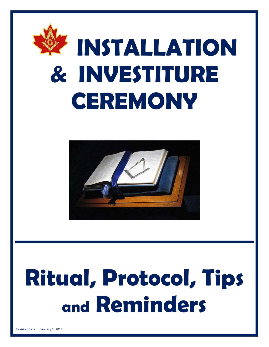



# **Ritual, Protocol, Tips and Reminders**

Revision Date: January 1, 2017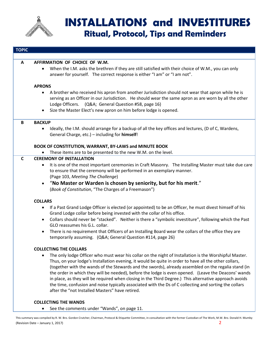

# **INSTALLATIONS and INVESTITURES Ritual, Protocol, Tips and Reminders**

| <b>TOPIC</b> |                                                                                                                                                                                                                                                                                                                                                                                                                                                                                                                                                                                                                                                                                                                    |
|--------------|--------------------------------------------------------------------------------------------------------------------------------------------------------------------------------------------------------------------------------------------------------------------------------------------------------------------------------------------------------------------------------------------------------------------------------------------------------------------------------------------------------------------------------------------------------------------------------------------------------------------------------------------------------------------------------------------------------------------|
|              |                                                                                                                                                                                                                                                                                                                                                                                                                                                                                                                                                                                                                                                                                                                    |
| A            | AFFIRMATION OF CHOICE OF W.M.                                                                                                                                                                                                                                                                                                                                                                                                                                                                                                                                                                                                                                                                                      |
|              | When the I.M. asks the brethren if they are still satisfied with their choice of W.M., you can only<br>$\bullet$<br>answer for yourself. The correct response is either "I am" or "I am not".                                                                                                                                                                                                                                                                                                                                                                                                                                                                                                                      |
|              | <b>APRONS</b>                                                                                                                                                                                                                                                                                                                                                                                                                                                                                                                                                                                                                                                                                                      |
|              | A brother who received his apron from another Jurisdiction should not wear that apron while he is<br>$\bullet$<br>serving as an Officer in our Jurisdiction. He should wear the same apron as are worn by all the other<br>Lodge Officers. (Q&A General Question #58, page 16)<br>Size the Master Elect's new apron on him before lodge is opened.<br>$\bullet$                                                                                                                                                                                                                                                                                                                                                    |
| B            | <b>BACKUP</b>                                                                                                                                                                                                                                                                                                                                                                                                                                                                                                                                                                                                                                                                                                      |
|              | Ideally, the I.M. should arrange for a backup of all the key offices and lectures, (D of C, Wardens,<br>$\bullet$<br>General Charge, etc.) - including for himself!                                                                                                                                                                                                                                                                                                                                                                                                                                                                                                                                                |
|              | BOOK OF CONSTITUTION, WARRANT, BY-LAWS and MINUTE BOOK                                                                                                                                                                                                                                                                                                                                                                                                                                                                                                                                                                                                                                                             |
|              | These items are to be presented to the new W.M. on the level.                                                                                                                                                                                                                                                                                                                                                                                                                                                                                                                                                                                                                                                      |
| $\mathsf{C}$ | <b>CEREMONY OF INSTALLATION</b>                                                                                                                                                                                                                                                                                                                                                                                                                                                                                                                                                                                                                                                                                    |
|              | It is one of the most important ceremonies in Craft Masonry. The Installing Master must take due care<br>to ensure that the ceremony will be performed in an exemplary manner.                                                                                                                                                                                                                                                                                                                                                                                                                                                                                                                                     |
|              | (Page 103, Meeting The Challenge)                                                                                                                                                                                                                                                                                                                                                                                                                                                                                                                                                                                                                                                                                  |
|              | "No Master or Warden is chosen by seniority, but for his merit."<br>$\bullet$                                                                                                                                                                                                                                                                                                                                                                                                                                                                                                                                                                                                                                      |
|              | (Book of Constitution, "The Charges of a Freemason")                                                                                                                                                                                                                                                                                                                                                                                                                                                                                                                                                                                                                                                               |
|              | <b>COLLARS</b>                                                                                                                                                                                                                                                                                                                                                                                                                                                                                                                                                                                                                                                                                                     |
|              | If a Past Grand Lodge Officer is elected (or appointed) to be an Officer, he must divest himself of his<br>$\bullet$<br>Grand Lodge collar before being invested with the collar of his office.                                                                                                                                                                                                                                                                                                                                                                                                                                                                                                                    |
|              | Collars should never be "stacked". Neither is there a "symbolic investiture", following which the Past<br>$\bullet$<br>GLO reassumes his G.L. collar.                                                                                                                                                                                                                                                                                                                                                                                                                                                                                                                                                              |
|              | There is no requirement that Officers of an Installing Board wear the collars of the office they are<br>$\bullet$<br>temporarily assuming. (Q&A General Question #114, page 26)                                                                                                                                                                                                                                                                                                                                                                                                                                                                                                                                    |
|              | <b>COLLECTING THE COLLARS</b>                                                                                                                                                                                                                                                                                                                                                                                                                                                                                                                                                                                                                                                                                      |
|              | The only lodge Officer who must wear his collar on the night of Installation is the Worshipful Master.<br>$\bullet$<br>Thus, on your lodge's Installation evening, it would be quite in order to have all the other collars,<br>(together with the wands of the Stewards and the swords), already assembled on the regalia stand (in<br>the order in which they will be needed), before the lodge is even opened. (Leave the Deacons' wands<br>in place, as they will be required when closing in the Third Degree.) This alternative approach avoids<br>the time, confusion and noise typically associated with the Ds of C collecting and sorting the collars<br>after the "not Installed Masters" have retired. |
|              | <b>COLLECTING THE WANDS</b>                                                                                                                                                                                                                                                                                                                                                                                                                                                                                                                                                                                                                                                                                        |

• See the comments under "Wands", on page 11.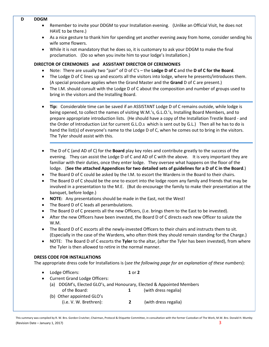#### **D DDGM**

- Remember to invite your DDGM to your Installation evening. (Unlike an Official Visit, he does not HAVE to be there.)
- As a nice gesture to thank him for spending yet another evening away from home, consider sending his wife some flowers.
- While it is not mandatory that he does so, it is customary to ask your DDGM to make the final proclamation. (Do so when you invite him to your lodge's Installation.)

#### **DIRECTOR OF CEREMONIES and ASSISTANT DIRECTOR OF CEREMONIES**

- Note: There are usually two "pair" of D of C's the **Lodge D of C** and the **D of C for the Board**.
- The Lodge D of C lines up and escorts all the visitors into lodge, where he presents/introduces them. (A special procedure applies when the Grand Master and the **Grand** D of C are present.)
- The I.M. should consult with the Lodge D of C about the composition and number of groups used to bring in the visitors and the Installing Board.
- **Tip:** Considerable time can be saved if an ASSISTANT Lodge D of C remains outside, while lodge is being opened, to collect the names of visiting W.M.'s, G.L.O.'s, Installing Board Members, and to prepare appropriate introduction lists. (He should have a copy of the Installation Trestle Board - and the Order of Introduction List for current G.L.O.s which is sent out by G.L.) Then all he has to do is hand the list(s) of everyone's name to the Lodge D of C, when he comes out to bring in the visitors. The Tyler should assist with this.
- The D of C (and AD of C) for the **Board** play key roles and contribute greatly to the success of the evening. They can assist the Lodge D of C and AD of C with the above. It is very important they are familiar with their duties, once they enter lodge. They oversee what happens on the floor of the lodge. (**See the attached Appendices for two detailed sets of guidelines for a D of C in the Board**.)
- The Board D of C could be asked by the I.M. to escort the Wardens in the Board to their chairs.
- The Board D of C should be the one to escort into the lodge room any family and friends that may be involved in a presentation to the M.E. (But do encourage the family to make their presentation at the banquet, before lodge.)
- **NOTE:** Any presentations should be made in the East, not the West!
- The Board D of C leads all perambulations.
- The Board D of C presents all the new Officers, (i.e. brings them to the East to be invested).
- After the new Officers have been invested, the Board D of C directs each new Officer to salute the W.M.
- The Board D of C escorts all the newly-invested Officers to their chairs and instructs them to sit. (Especially in the case of the Wardens, who often think they should remain standing for the Charge.)
- NOTE: The Board D of C escorts the **Tyler** to the altar, (after the Tyler has been invested), from where the Tyler is then allowed to retire in the normal manner.

#### **DRESS CODE FOR INSTALLATIONS**

The appropriate dress code for Installations is (*see the following page for an explanation of these numbers*):

- Lodge Officers: **1** or **2**
- Current Grand Lodge Officers: (a) DDGM's, Elected GLO's, and Honourary, Elected & Appointed Members of the Board: **1** (with dress regalia) (b) Other appointed GLO's (i.e. V. W. Brethren): **2** (with dress regalia)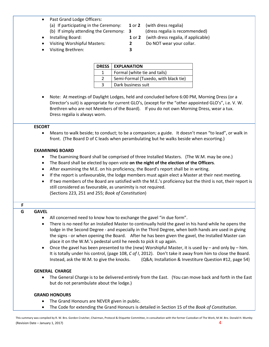#### Past Grand Lodge Officers:

- (a) If participating in the Ceremony: **1** or **2** (with dress regalia)
	-
- (b) If simply attending the Ceremony: **3** (dress regalia is recommended)
- 
- 
- Installing Board: **1** or **2** (with dress regalia, if applicable)
	- Visiting Worshipful Masters: **2** Do NOT wear your collar.
- Visiting Brethren: **3**

|               | <b>DRESS   EXPLANATION</b>           |
|---------------|--------------------------------------|
|               | Formal (white tie and tails)         |
| $\mathcal{L}$ | Semi-Formal (Tuxedo, with black tie) |
| 3             | Dark business suit                   |

• Note: At meetings of Daylight Lodges, held and concluded before 6:00 PM, Morning Dress (or a Director's suit) is appropriate for current GLO's, (except for the "other appointed GLO's", i.e. V. W. Brethren who are not Members of the Board). If you do not own Morning Dress, wear a tux. Dress regalia is always worn.

#### **ESCORT**

• Means to walk beside; to conduct; to be a companion; a guide. It doesn't mean "to lead", or walk in front. (The Board D of C leads when perambulating but he walks beside when escorting.)

#### **EXAMINING BOARD**

- The Examining Board shall be comprised of three Installed Masters. (The W.M. may be one.)
- The Board shall be elected by open vote **on the night of the election of the Officers**.
- After examining the M.E. on his proficiency, the Board's report shall be in writing.
- If the report is unfavourable, the lodge members must again elect a Master at their next meeting.
- If two members of the Board are satisfied with the M.E.'s proficiency but the third is not, their report is still considered as favourable, as unanimity is not required. (Sections 223, 251 and 255; *Book of Constitution*)

# **F**

# **G GAVEL**

- All concerned need to know how to exchange the gavel "in due form".
- There is no need for an Installed Master to continually hold the gavel in his hand while he opens the lodge in the Second Degree - and especially in the Third Degree, when both hands are used in giving the signs - or when opening the Board. After he has been given the gavel, the Installed Master can place it on the W.M.'s pedestal until he needs to pick it up again.
- Once the gavel has been presented to the (new) Worshipful Master, it is used by  $-$  and only by  $-$  him. It is totally under his control, (page 108, *C of I*, 2012). Don't take it away from him to close the Board. Instead, ask the W.M. to give the knocks. (Q&A; Installation & Investiture Question #12, page 54)

#### **GENERAL CHARGE**

• The General Charge is to be delivered entirely from the East. (You can move back and forth in the East but do not perambulate about the lodge.)

#### **GRAND HONOURS**

- The Grand Honours are NEVER given in public.
- The Code for extending the Grand Honours is detailed in Section 15 of the *Book of Constitution*.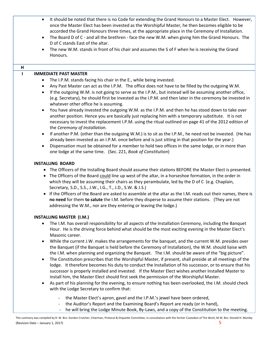- It should be noted that there is no Code for extending the Grand Honours to a Master Elect. However, once the Master Elect has been invested as the Worshipful Master, he then becomes eligible to be accorded the Grand Honours three times, at the appropriate place in the Ceremony of Installation.
- The Board D of C and all the brethren face the new W.M. when giving him the Grand Honours. The D of C stands East of the altar.
- The new W.M. stands in front of his chair and assumes the S of F when he is receiving the Grand Honours.

#### **H**

#### **I IMMEDIATE PAST MASTER**

- The I.P.M. stands facing his chair in the E., while being invested.
- Any Past Master can act as the I.P.M. The office does not have to be filled by the outgoing W.M.
- If the outgoing W.M. is not going to serve as the I.P.M., but instead will be assuming another office, (e.g. Secretary), he should first be invested as the I.P.M. and then later in the ceremony be invested in whatever other office he is assuming.
- You have already invested the outgoing W.M. as the I.P.M. and then he has stood down to take over another position. Hence you are basically just replacing him with a temporary substitute. It is not necessary to invest the replacement I.P.M. using the ritual outlined on page 41 of the 2012 edition of the *Ceremony of Installation*.
- If another P.M. (other than the outgoing W.M.) is to sit as the I.P.M., he need not be invested. (He has already been invested as an I.P.M. once before and is just sitting in that position for the year.)
- Dispensation must be obtained for a member to hold two offices in the same lodge, or in more than one lodge at the same time. (Sec. 221, *Book of Constitution*)

#### **INSTALLING BOARD**

- The Officers of the Installing Board should assume their stations BEFORE the Master Elect is presented.
- The Officers of the Board could line up west of the altar, in a horseshoe formation, in the order in which they will be assuming their chairs as they perambulate, led by the D of C (e.g. Chaplain, Secretary, S.D., S.S., J.W., I.G., T., J.D., S.W. & J.S.)
- If the Officers of the Board are asked to assemble at the altar as the I.M. reads out their names, there is **no need** for them **to salute** the I.M. before they disperse to assume their stations. (They are not addressing the W.M., nor are they entering or leaving the lodge.)

#### **INSTALLING MASTER (I.M.)**

- The I.M. has overall responsibility for all aspects of the Installation Ceremony, including the Banquet Hour. He is the driving force behind what should be the most exciting evening in the Master Elect's Masonic career.
- While the current J.W. makes the arrangements for the banquet, and the current W.M. presides over the Banquet (if the Banquet is held before the Ceremony of Installation), the W.M. should liaise with the I.M. when planning and organizing the Banquet. The I.M. should be aware of the "big picture".
- The Constitution prescribes that the Worshipful Master, if present, shall preside at all meetings of the lodge. It therefore becomes his duty to conduct the Installation of his successor, or to ensure that his successor is properly installed and invested. If the Master Elect wishes another Installed Master to install him, the Master Elect should first seek the permission of the Worshipful Master.
- As part of his planning for the evening, to ensure nothing has been overlooked, the I.M. should check with the Lodge Secretary to confirm that:
	- the Master Elect's apron, gavel and the I.P.M.'s jewel have been ordered,
	- the Auditor's Report and the Examining Board's Report are ready (or in hand),
	- he will bring the Lodge Minute Book, By-Laws, and a copy of the Constitution to the meeting.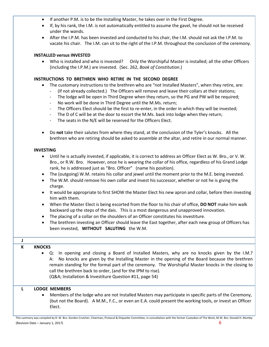- If another P.M. is to be the Installing Master, he takes over in the First Degree.
- If, by his rank, the I.M. is not automatically entitled to assume the gavel, he should not be received under the wands.
- After the I.P.M. has been invested and conducted to his chair, the I.M. should not ask the I.P.M. to vacate his chair. The I.M. can sit to the right of the I.P.M. throughout the conclusion of the ceremony.

#### **INSTALLED versus INVESTED**

• Who is installed and who is invested? Only the Worshipful Master is installed; all the other Officers (including the I.P.M.) are invested. (Sec. 262, *Book of Constitution*.)

#### **INSTRUCTIONS TO BRETHREN WHO RETIRE IN THE SECOND DEGREE**

- The customary instructions to the brethren who are "not Installed Masters", when they retire, are:
	- (If not already collected.) The Officers will remove and leave their collars at their stations;
	- The lodge will be open in Third Degree when they return, so the PG and PW will be required;
	- No work will be done in Third Degree until the M.Ms. return;
	- The Officers Elect should be the first to re-enter, in the order in which they will be invested;
	- The D of C will be at the door to escort the M.Ms. back into lodge when they return;
	- The seats in the N/E will be reserved for the Officers Elect.
- Do **not** take their salutes from where they stand, at the conclusion of the Tyler's knocks. All the brethren who are retiring should be asked to assemble at the altar, and retire in our normal manner.

#### **INVESTING**

- Until he is actually invested, if applicable, it is correct to address an Officer Elect as W. Bro., or V. W. Bro., or R.W. Bro. However, once he is wearing the collar of his office, regardless of his Grand Lodge rank, he is addressed just as "Bro. Officer" (name his position).
- The (outgoing) W.M. retains his collar and jewel until the moment prior to the M.E. being invested.
- The W.M. should remove his own collar and invest his successor, whether or not he is giving the charge.
- It would be appropriate to first SHOW the Master Elect his new apron and collar, before then investing him with them.
- When the Master Elect is being escorted from the floor to his chair of office, **DO NOT** make him walk backward up the steps of the dais. This is a most dangerous and unapproved innovation.
- The placing of a collar on the shoulders of an Officer constitutes his investiture.
- The brethren investing an Officer should leave the East together, after each new group of Officers has been invested, **WITHOUT SALUTING** the W.M.

# **J**

#### **K KNOCKS**

• Q: In opening and closing a Board of Installed Masters, why are no knocks given by the I.M.? A: No knocks are given by the Installing Master in the opening of the Board because the brethren remain standing for the formal part of the ceremony. The Worshipful Master knocks in the closing to call the brethren back to order, (and for the IPM to rise). (Q&A; Installation & Investiture Question #11, page 54)

#### **L LODGE MEMBERS**

• Members of the lodge who are not Installed Masters may participate in specific parts of the Ceremony, (but not the Board). A M.M., F.C., or even an E.A. could present the working tools, or invest an Officer Elect.

This summary was compiled by R. W. Bro. Gordon Crutcher, Chairman, Protocol & Etiquette Committee, in consultation with the former Custodian of The Work, M.W. Bro. Donald H. Mumby (Revision Date – January 1, 2017) 6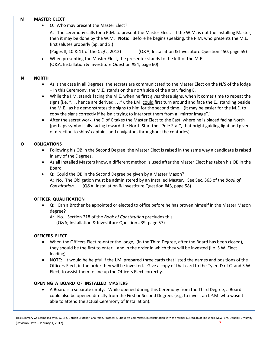#### **M MASTER ELECT**

• Q: Who may present the Master Elect?

A: The ceremony calls for a P.M. to present the Master Elect. If the W.M. is not the Installing Master, then it may be done by the W.M. **Note:** Before he begins speaking, the P.M. who presents the M.E. first salutes properly (Sp. and S.)

(Pages 8, 10 & 11 of the *C of I*, 2012) (Q&A; Installation & Investiture Question #50, page 59)

• When presenting the Master Elect, the presenter stands to the left of the M.E. (Q&A; Installation & Investiture Question #54, page 60)

#### **N NORTH**

- As is the case in all Degrees, the secrets are communicated to the Master Elect on the N/S of the lodge – in this Ceremony, the M.E. stands on the north side of the altar, facing E.
- While the I.M. stands facing the M.E. when he first gives these signs, when it comes time to repeat the signs (i.e. ". . . hence are derived . . ."), the I.M. could first turn around and face the E., standing beside the M.E., as he demonstrates the signs to him for the second time. (It may be easier for the M.E. to copy the signs correctly if he isn't trying to interpret them from a "mirror image".)
- After the secret work, the D of C takes the Master Elect to the East, where he is placed facing North (perhaps symbolically facing toward the North Star, the "Pole Star", that bright guiding light and giver of direction to ships' captains and navigators throughout the centuries).

#### **O OBLIGATIONS**

- Following his OB in the Second Degree, the Master Elect is raised in the same way a candidate is raised in any of the Degrees.
- As all Installed Masters know, a different method is used after the Master Elect has taken his OB in the Board.
- Q: Could the OB in the Second Degree be given by a Master Mason? A: No. The Obligation must be administered by an Installed Master. See Sec. 365 of the *Book of Constitution*. (Q&A; Installation & Investiture Question #43, page 58)

#### **OFFICER QUALIFICATION**

- Q: Can a Brother be appointed or elected to office before he has proven himself in the Master Mason degree?
	- A: No. Section 218 of the *Book of Constitution* precludes this. (Q&A; Installation & Investiture Question #39, page 57)

#### **OFFICERS ELECT**

- When the Officers Elect re-enter the lodge, (in the Third Degree, after the Board has been closed), they should be the first to enter – and in the order in which they will be invested (i.e. S.W. Elect leading).
- NOTE: It would be helpful if the I.M. prepared three cards that listed the names and positions of the Officers Elect, in the order they will be invested. Give a copy of that card to the Tyler, D of C, and S.W. Elect, to assist them to line up the Officers Elect correctly.

#### **OPENING A BOARD OF INSTALLED MASTERS**

• A Board is a separate entity. While opened during this Ceremony from the Third Degree, a Board could also be opened directly from the First or Second Degrees (e.g. to invest an I.P.M. who wasn't able to attend the actual Ceremony of Installation).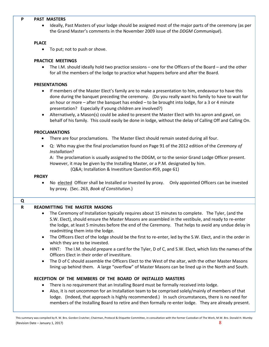#### **P PAST MASTERS**

• Ideally, Past Masters of your lodge should be assigned most of the major parts of the ceremony (as per the Grand Master's comments in the November 2009 issue of the *DDGM Communiqué*).

#### **PLACE**

• To put; not to push or shove.

#### **PRACTICE MEETINGS**

• The I.M. should ideally hold two practice sessions – one for the Officers of the Board – and the other for all the members of the lodge to practice what happens before and after the Board.

#### **PRESENTATIONS**

- If members of the Master Elect's family are to make a presentation to him, endeavour to have this done during the banquet preceding the ceremony. (Do you really want his family to have to wait for an hour or more – after the banquet has ended – to be brought into lodge, for a 3 or 4 minute presentation? Especially if young children are involved?)
- Alternatively, a Mason(s) could be asked to present the Master Elect with his apron and gavel, on behalf of his family. This could easily be done in lodge, without the delay of Calling Off and Calling On.

#### **PROCLAMATIONS**

- There are four proclamations. The Master Elect should remain seated during all four.
- Q: Who may give the final proclamation found on Page 91 of the 2012 edition of the *Ceremony of Installation*?

A: The proclamation is usually assigned to the DDGM, or to the senior Grand Lodge Officer present. However, it may be given by the Installing Master, or a P.M. designated by him.

(Q&A; Installation & Investiture Question #59, page 61)

#### **PROXY**

• No elected Officer shall be Installed or Invested by proxy. Only appointed Officers can be invested by proxy. (Sec. 263, *Book of Constitution*.)

| Q                                                                                                                                             |                                                                                                                                                                                                                                                                                                                                                                  |
|-----------------------------------------------------------------------------------------------------------------------------------------------|------------------------------------------------------------------------------------------------------------------------------------------------------------------------------------------------------------------------------------------------------------------------------------------------------------------------------------------------------------------|
| R                                                                                                                                             | <b>READMITTING THE MASTER MASONS</b>                                                                                                                                                                                                                                                                                                                             |
|                                                                                                                                               | The Ceremony of Installation typically requires about 15 minutes to complete. The Tyler, (and the<br>$\bullet$<br>S.W. Elect), should ensure the Master Masons are assembled in the vestibule, and ready to re-enter<br>the lodge, at least 5 minutes before the end of the Ceremony. That helps to avoid any undue delay in<br>readmitting them into the lodge. |
| The Officers Elect of the lodge should be the first to re-enter, led by the S.W. Elect, and in the order in<br>which they are to be invested. |                                                                                                                                                                                                                                                                                                                                                                  |
|                                                                                                                                               | HINT: The I.M. should prepare a card for the Tyler, D of C, and S.W. Elect, which lists the names of the<br>$\bullet$<br>Officers Elect in their order of investiture.                                                                                                                                                                                           |
|                                                                                                                                               | The D of C should assemble the Officers Elect to the West of the altar, with the other Master Masons<br>$\bullet$<br>lining up behind them. A large "overflow" of Master Masons can be lined up in the North and South.                                                                                                                                          |
|                                                                                                                                               | RECEPTION OF THE MEMBERS OF THE BOARD OF INSTALLED MASTERS                                                                                                                                                                                                                                                                                                       |
|                                                                                                                                               | There is no requirement that an Installing Board must be formally received into lodge.                                                                                                                                                                                                                                                                           |
|                                                                                                                                               | Also, it is not uncommon for an Installation team to be comprised solely/mainly of members of that<br>$\bullet$<br>lodge. (Indeed, that approach is highly recommended.) In such circumstances, there is no need for<br>members of the Installing Board to retire and then formally re-enter lodge. They are already present.                                    |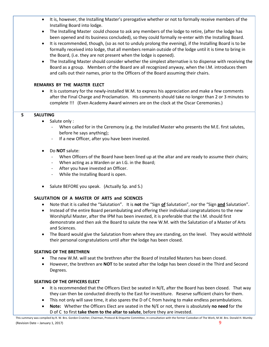- It is, however, the Installing Master's prerogative whether or not to formally receive members of the Installing Board into lodge.
- The Installing Master could choose to ask any members of the lodge to retire, (after the lodge has been opened and its business concluded), so they could formally re-enter with the Installing Board.
- It is recommended, though, (so as not to unduly prolong the evening), if the Installing Board is to be formally received into lodge, that all members remain outside of the lodge until it is time to bring in the Board, (i.e. they are not present when the lodge is opened).
- The Installing Master should consider whether the simplest alternative is to dispense with receiving the Board as a group. Members of the Board are all recognized anyway, when the I.M. introduces them and calls out their names, prior to the Officers of the Board assuming their chairs.

#### **REMARKS BY THE MASTER ELECT**

• It is customary for the newly-installed W.M. to express his appreciation and make a few comments after the Final Charge and Proclamation. His comments should take no longer than 2 or 3 minutes to complete !!! (Even Academy Award winners are on the clock at the Oscar Ceremonies.)

#### **S SALUTING**

- Salute only :
	- When called for in the Ceremony (e.g. the Installed Master who presents the M.E. first salutes, before he says anything);
	- If a new Officer, after you have been invested.
- Do **NOT** salute:
	- When Officers of the Board have been lined up at the altar and are ready to assume their chairs;
	- When acting as a Warden or an I.G. in the Board;
	- After you have invested an Officer.
	- While the Installing Board is open.
- Salute BEFORE you speak. (Actually Sp. and S.)

#### **SALUTATION OF A MASTER OF ARTS and SCIENCES**

- Note that it is called the "Salutation". It is **not** the "Sign **of** Salutation", nor the "Sign **and** Salutation".
- Instead of the entire Board perambulating and offering their individual congratulations to the new Worshipful Master, after the IPM has been invested, it is preferable that the I.M. should first demonstrate and then ask the Board to salute the new W.M. with the Salutation of a Master of Arts and Sciences.
- The Board would give the Salutation from where they are standing, on the level. They would withhold their personal congratulations until after the lodge has been closed.

#### **SEATING OF THE BRETHREN**

- The new W.M. will seat the brethren after the Board of Installed Masters has been closed.
- However, the brethren are **NOT** to be seated after the lodge has been closed in the Third and Second Degrees.

#### **SEATING OF THE OFFICERS ELECT**

- It is recommended that the Officers Elect be seated in N/E, after the Board has been closed. That way they can then be conducted directly to the East for investiture. Reserve sufficient chairs for them.
- This not only will save time, it also spares the D of C from having to make endless perambulations.
- **Note:** Whether the Officers Elect are seated in the N/E or not, there is absolutely **no need** for the D of C to first **take them to the altar to salute**, before they are invested.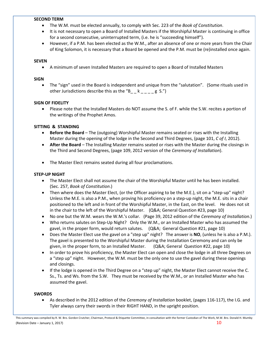#### **SECOND TERM**

- The W.M. must be elected annually, to comply with Sec. 223 of the *Book of Constitution*.
- It is not necessary to open a Board of Installed Masters if the Worshipful Master is continuing in office for a second consecutive, uninterrupted term, (i.e. he is "succeeding himself").
- However, if a P.M. has been elected as the W.M., after an absence of one or more years from the Chair of King Solomon, it is necessary that a Board be opened and the P.M. must be (re)installed once again.

#### **SEVEN**

• A minimum of seven Installed Masters are required to open a Board of Installed Masters

#### **SIGN**

• The "sign" used in the Board is independent and unique from the "salutation". (Some rituals used in other Jurisdictions describe this as the " $B_ - k_ - - g S$ .")

#### **SIGN OF FIDELITY**

• Please note that the Installed Masters do NOT assume the S. of F. while the S.W. recites a portion of the writings of the Prophet Amos.

#### **SITTING & STANDING**

- **Before the Board** The (outgoing) Worshipful Master remains seated or rises with the Installing Master during the opening of the lodge in the Second and Third Degrees, (page 101, *C of I*, 2012).
- **After the Board** The Installing Master remains seated or rises with the Master during the closings in the Third and Second Degrees, (page 109, 2012 version of the *Ceremony of Installation*).
- The Master Elect remains seated during all four proclamations.

#### **STEP-UP NIGHT**

- The Master Elect shall not assume the chair of the Worshipful Master until he has been installed. (Sec. 257, *Book of Constitution*.)
- Then where does the Master Elect, (or the Officer aspiring to be the M.E.), sit on a "step-up" night? Unless the M.E. is also a P.M., when proving his proficiency on a step-up night, the M.E. sits in a chair positioned to the left and in front of the Worshipful Master, in the East, on the level. He does not sit in the chair to the left of the Worshipful Master. (Q&A; General Question #23, page 10)
- No one but the W.M. wears the W.M.'s collar. (Page 39, 2012 edition of the *Ceremony of Installation.*)
- Who returns salutes on Step-Up Night? Only the W.M., or an Installed Master who has assumed the gavel, in the proper form, would return salutes. (Q&A; General Question #21, page 10)
- Does the Master Elect use the gavel on a "step up" night? The answer is **NO**, (unless he is also a P.M.). The gavel is presented to the Worshipful Master during the Installation Ceremony and can only be given, in the proper form, to an Installed Master. (Q&A; General Question #22, page 10)
- In order to prove his proficiency, the Master Elect can open and close the lodge in all three Degrees on a "step up" night. However, the W.M. must be the only one to use the gavel during these openings and closings.
- If the lodge is opened in the Third Degree on a "step up" night, the Master Elect cannot receive the C. Ss., Ts. and Ws. from the S.W. They must be received by the W.M., or an Installed Master who has assumed the gavel.

#### **SWORDS**

• As described in the 2012 edition of the *Ceremony of Installation* booklet, (pages 116-117), the I.G. and Tyler always carry their swords in their RIGHT HAND, in the upright position.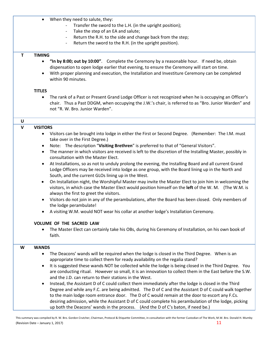- When they need to salute, they:
	- Transfer the sword to the L.H. (in the upright position);
	- Take the step of an EA and salute;
	- Return the R.H. to the side and change back from the step;
	- Return the sword to the R.H. (in the upright position).

#### **T TIMING**

- **"In by 8:00; out by 10:00"**. Complete the Ceremony by a reasonable hour. If need be, obtain dispensation to open lodge earlier that evening, to ensure the Ceremony will start on time.
- With proper planning and execution, the Installation and Investiture Ceremony can be completed within 90 minutes.

#### **TITLES**

• The rank of a Past or Present Grand Lodge Officer is not recognized when he is occupying an Officer's chair. Thus a Past DDGM, when occupying the J.W.'s chair, is referred to as "Bro. Junior Warden" and not "R. W. Bro. Junior Warden".

# **U**

#### **V VISITORS**

- Visitors can be brought into lodge in either the First or Second Degree. (Remember: The I.M. must take over in the First Degree.)
- Note: The description "**Visiting Brethren**" is preferred to that of "General Visitors".
- The manner in which visitors are received is left to the discretion of the Installing Master, possibly in consultation with the Master Elect.
- At Installations, so as not to unduly prolong the evening, the Installing Board and all current Grand Lodge Officers may be received into lodge as one group, with the Board lining up in the North and South, and the current GLOs lining up in the West.
- On Installation night, the Worshipful Master may invite the Master Elect to join him in welcoming the visitors, in which case the Master Elect would position himself on the **left** of the W. M. (The W.M. is always the first to greet the visitors.
- Visitors do not join in any of the perambulations, after the Board has been closed. Only members of the lodge perambulate!
- A visiting W.M. would NOT wear his collar at another lodge's Installation Ceremony.

#### **VOLUME OF THE SACRED LAW**

• The Master Elect can certainly take his OBs, during his Ceremony of Installation, on his own book of faith.

#### **W WANDS**

- The Deacons' wands will be required when the lodge is closed in the Third Degree. When is an appropriate time to collect them for ready availability on the regalia stand?
- It is suggested these wands NOT be collected while the lodge is being closed in the Third Degree. You are conducting ritual. However so small, it is an innovation to collect them in the East before the S.W. and the J.D. can return to their stations in the West.
- Instead, the Assistant D of C could collect them immediately after the lodge is closed in the Third Degree and while any F.C. are being admitted. The D of C and the Assistant D of C could walk together to the main lodge room entrance door. The D of C would remain at the door to escort any F.Cs. desiring admission, while the Assistant D of C could complete his perambulation of the lodge, picking up both the Deacons' wands in the process. (And the D of C's baton, if need be.)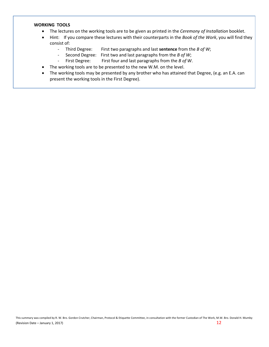#### **WORKING TOOLS**

- The lectures on the working tools are to be given as printed in the *Ceremony of Installation* booklet.
- Hint: If you compare these lectures with their counterparts in the *Book of the Work*, you will find they consist of:
	- Third Degree: First two paragraphs and last **sentence** from the *B of W*;
	- Second Degree: First two and last paragraphs from the *B of W*;
	- First Degree: First four and last paragraphs from the *B of W*.
- The working tools are to be presented to the new W.M. on the level.
- The working tools may be presented by any brother who has attained that Degree, (e.g. an E.A. can present the working tools in the First Degree).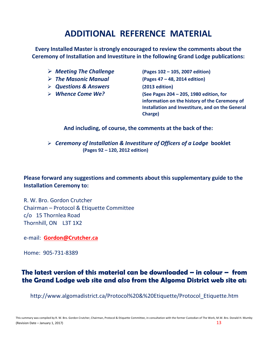# **ADDITIONAL REFERENCE MATERIAL**

**Every Installed Master is strongly encouraged to review the comments about the Ceremony of Installation and Investiture in the following Grand Lodge publications:**

- *Meeting The Challenge* **(Pages 102 – 105, 2007 edition)**
- 
- *Questions & Answers* **(2013 edition)**
- 

 *The Masonic Manual* **(Pages 47 – 48, 2014 edition)** *Whence Come We?* **(See Pages 204 – 205, 1980 edition, for information on the history of the Ceremony of Installation and Investiture, and on the General Charge)**

**And including, of course, the comments at the back of the:**

 *Ceremony of Installation & Investiture of Officers of a Lodge* **booklet (Pages 92 – 120, 2012 edition)**

**Please forward any suggestions and comments about this supplementary guide to the Installation Ceremony to:**

R. W. Bro. Gordon Crutcher Chairman – Protocol & Etiquette Committee c/o 15 Thornlea Road Thornhill, ON L3T 1X2

e-mail: **[Gordon@Crutcher.ca](mailto:Gordon@Crutcher.ca)**

Home: 905-731-8389

# **The latest version of this material can be downloaded – in colour – from the Grand Lodge web site and also from the Algoma District web site at:**

http://www.algomadistrict.ca/Protocol%20&%20Etiquette/Protocol\_Etiquette.htm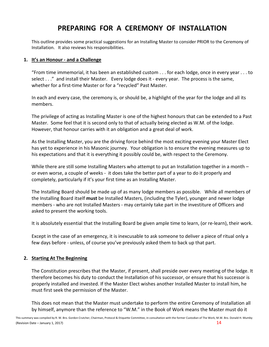# **PREPARING FOR A CEREMONY OF INSTALLATION**

This outline provides some practical suggestions for an Installing Master to consider PRIOR to the Ceremony of Installation. It also reviews his responsibilities.

#### **1. It's an Honour - and a Challenge**

"From time immemorial, it has been an established custom . . . for each lodge, once in every year . . . to select . . ." and install their Master. Every lodge does it - every year. The process is the same, whether for a first-time Master or for a "recycled" Past Master.

In each and every case, the ceremony is, or should be, a highlight of the year for the lodge and all its members.

The privilege of acting as Installing Master is one of the highest honours that can be extended to a Past Master. Some feel that it is second only to that of actually being elected as W.M. of the lodge. However, that honour carries with it an obligation and a great deal of work.

As the Installing Master, you are the driving force behind the most exciting evening your Master Elect has yet to experience in his Masonic journey. Your obligation is to ensure the evening measures up to his expectations and that it is everything it possibly could be, with respect to the Ceremony.

While there are still some Installing Masters who attempt to put an Installation together in a month – or even worse, a couple of weeks - it does take the better part of a year to do it properly and completely, particularly if it's your first time as an Installing Master.

The Installing Board should be made up of as many lodge members as possible. While all members of the Installing Board itself **must** be Installed Masters, (including the Tyler), younger and newer lodge members - who are not Installed Masters - may certainly take part in the investiture of Officers and asked to present the working tools.

It is absolutely essential that the Installing Board be given ample time to learn, (or re-learn), their work.

Except in the case of an emergency, it is inexcusable to ask someone to deliver a piece of ritual only a few days before - unless, of course you've previously asked them to back up that part.

#### **2. Starting At The Beginning**

The Constitution prescribes that the Master, if present, shall preside over every meeting of the lodge. It therefore becomes his duty to conduct the Installation of his successor, or ensure that his successor is properly installed and invested. If the Master Elect wishes another Installed Master to install him, he must first seek the permission of the Master.

This does not mean that the Master must undertake to perform the entire Ceremony of Installation all by himself, anymore than the reference to "W.M." in the Book of Work means the Master must do it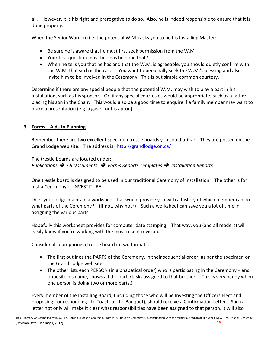all. However, it is his right and prerogative to do so. Also, he is indeed responsible to ensure that it is done properly.

When the Senior Warden (i.e. the potential W.M.) asks you to be his Installing Master:

- Be sure he is aware that he must first seek permission from the W.M.
- Your first question must be has he done that?
- When he tells you that he has and that the W.M. is agreeable, you should quietly confirm with the W.M. that such is the case. You want to personally seek the W.M.'s blessing and also invite him to be involved in the Ceremony. This is but simple common courtesy.

Determine if there are any special people that the potential W.M. may wish to play a part in his Installation, such as his sponsor. Or, if any special courtesies would be appropriate, such as a father placing his son in the Chair. This would also be a good time to enquire if a family member may want to make a presentation (e.g. a gavel, or his apron).

#### **3. Forms – Aids to Planning**

Remember there are two excellent specimen trestle boards you could utilize. They are posted on the Grand Lodge web site. The address is: [http://grandlodge.on.ca/](http://grandlodge.on.ca/Forms/)

The trestle boards are located under: *Publications All Documents Forms Reports Templates Installation Reports* 

One trestle board is designed to be used in our traditional Ceremony of Installation. The other is for just a Ceremony of INVESTITURE.

Does your lodge maintain a worksheet that would provide you with a history of which member can do what parts of the Ceremony? (If not, why not?) Such a worksheet can save you a lot of time in assigning the various parts.

Hopefully this worksheet provides for computer date stamping. That way, you (and all readers) will easily know if you're working with the most recent revision.

Consider also preparing a trestle board in two formats:

- The first outlines the PARTS of the Ceremony, in their sequential order, as per the specimen on the Grand Lodge web site.
- The other lists each PERSON (in alphabetical order) who is participating in the Ceremony and opposite his name, shows all the parts/tasks assigned to that brother. (This is very handy when one person is doing two or more parts.)

Every member of the Installing Board, (including those who will be Investing the Officers Elect and proposing - or responding - to Toasts at the Banquet), should receive a Confirmation Letter. Such a letter not only will make it clear what responsibilities have been assigned to that person, it will also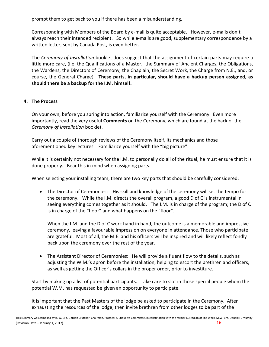prompt them to get back to you if there has been a misunderstanding.

Corresponding with Members of the Board by e-mail is quite acceptable. However, e-mails don't always reach their intended recipient. So while e-mails are good, supplementary correspondence by a written letter, sent by Canada Post, is even better.

The *Ceremony of Installation* booklet does suggest that the assignment of certain parts may require a little more care, (i.e. the Qualifications of a Master, the Summary of Ancient Charges, the Obligations, the Wardens, the Directors of Ceremony, the Chaplain, the Secret Work, the Charge from N.E., and, or course, the General Charge). **These parts, in particular, should have a backup person assigned, as should there be a backup for the I.M. himself.**

#### **4. The Process**

On your own, before you spring into action, familiarize yourself with the Ceremony. Even more importantly, read the very useful **Comments** on the Ceremony, which are found at the back of the *Ceremony of Installation* booklet.

Carry out a couple of thorough reviews of the Ceremony itself, its mechanics and those aforementioned key lectures. Familiarize yourself with the "big picture".

While it is certainly not necessary for the I.M. to personally do all of the ritual, he must ensure that it is done properly. Bear this in mind when assigning parts.

When selecting your installing team, there are two key parts that should be carefully considered:

• The Director of Ceremonies: His skill and knowledge of the ceremony will set the tempo for the ceremony. While the I.M. directs the overall program, a good D of C is instrumental in seeing everything comes together as it should. The I.M. is in charge of the program; the D of C is in charge of the "floor" and what happens on the "floor".

When the I.M. and the D of C work hand in hand, the outcome is a memorable and impressive ceremony, leaving a favourable impression on everyone in attendance. Those who participate are grateful. Most of all, the M.E. and his officers will be inspired and will likely reflect fondly back upon the ceremony over the rest of the year.

• The Assistant Director of Ceremonies: He will provide a fluent flow to the details, such as adjusting the W.M.'s apron before the installation, helping to escort the brethren and officers, as well as getting the Officer's collars in the proper order, prior to investiture.

Start by making up a list of potential participants. Take care to slot in those special people whom the potential W.M. has requested be given an opportunity to participate.

It is important that the Past Masters of the lodge be asked to participate in the Ceremony. After exhausting the resources of the lodge, then invite brethren from other lodges to be part of the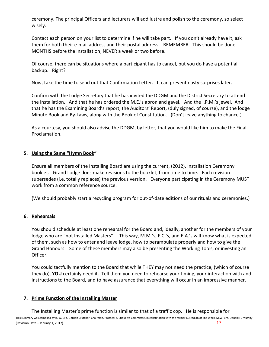ceremony. The principal Officers and lecturers will add lustre and polish to the ceremony, so select wisely.

Contact each person on your list to determine if he will take part. If you don't already have it, ask them for both their e-mail address and their postal address. REMEMBER - This should be done MONTHS before the Installation, NEVER a week or two before.

Of course, there can be situations where a participant has to cancel, but you do have a potential backup. Right?

Now, take the time to send out that Confirmation Letter. It can prevent nasty surprises later.

Confirm with the Lodge Secretary that he has invited the DDGM and the District Secretary to attend the Installation. And that he has ordered the M.E.'s apron and gavel. And the I.P.M.'s jewel. And that he has the Examining Board's report, the Auditors' Report, (duly signed, of course), and the lodge Minute Book and By-Laws, along with the Book of Constitution. (Don't leave anything to chance.)

As a courtesy, you should also advise the DDGM, by letter, that you would like him to make the Final Proclamation.

#### **5. Using the Same "Hymn Book"**

Ensure all members of the Installing Board are using the current, (2012), Installation Ceremony booklet. Grand Lodge does make revisions to the booklet, from time to time. Each revision supersedes (i.e. totally replaces) the previous version. Everyone participating in the Ceremony MUST work from a common reference source.

(We should probably start a recycling program for out-of-date editions of our rituals and ceremonies.)

#### **6. Rehearsals**

You should schedule at least one rehearsal for the Board and, ideally, another for the members of your lodge who are "not Installed Masters". This way, M.M.'s, F.C.'s, and E.A.'s will know what is expected of them, such as how to enter and leave lodge, how to perambulate properly and how to give the Grand Honours. Some of these members may also be presenting the Working Tools, or investing an Officer.

You could tactfully mention to the Board that while THEY may not need the practice, (which of course they do), **YOU** certainly need it. Tell them you need to rehearse your timing, your interaction with and instructions to the Board, and to have assurance that everything will occur in an impressive manner.

#### **7. Prime Function of the Installing Master**

The Installing Master's prime function is similar to that of a traffic cop. He is responsible for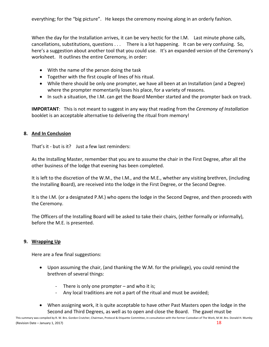everything; for the "big picture". He keeps the ceremony moving along in an orderly fashion.

When the day for the Installation arrives, it can be very hectic for the I.M. Last minute phone calls, cancellations, substitutions, questions . . . There is a lot happening. It can be very confusing. So, here's a suggestion about another tool that you could use. It's an expanded version of the Ceremony's worksheet. It outlines the entire Ceremony, in order:

- With the name of the person doing the task
- Together with the first couple of lines of his ritual.
- While there should be only one prompter, we have all been at an Installation (and a Degree) where the prompter momentarily loses his place, for a variety of reasons.
- In such a situation, the I.M. can get the Board Member started and the prompter back on track.

**IMPORTANT**: This is not meant to suggest in any way that reading from the *Ceremony of Installation* booklet is an acceptable alternative to delivering the ritual from memory!

## **8. And In Conclusion**

That's it - but is it? Just a few last reminders:

As the Installing Master, remember that you are to assume the chair in the First Degree, after all the other business of the lodge that evening has been completed.

It is left to the discretion of the W.M., the I.M., and the M.E., whether any visiting brethren, (including the Installing Board), are received into the lodge in the First Degree, or the Second Degree.

It is the I.M. (or a designated P.M.) who opens the lodge in the Second Degree, and then proceeds with the Ceremony.

The Officers of the Installing Board will be asked to take their chairs, (either formally or informally), before the M.E. is presented.

# **9. Wrapping Up**

Here are a few final suggestions:

- Upon assuming the chair, (and thanking the W.M. for the privilege), you could remind the brethren of several things:
	- There is only one prompter and who it is;
	- Any local traditions are not a part of the ritual and must be avoided;
- When assigning work, it is quite acceptable to have other Past Masters open the lodge in the Second and Third Degrees, as well as to open and close the Board. The gavel must be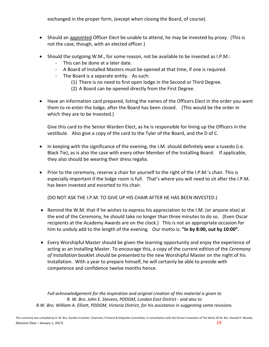exchanged in the proper form, (except when closing the Board, of course).

- Should an appointed Officer Elect be unable to attend, he may be invested by proxy. (This is not the case, though, with an elected officer.)
- Should the outgoing W.M., for some reason, not be available to be invested as I.P.M.:
	- This can be done at a later date.
	- A Board of Installed Masters must be opened at that time, if one is required.
	- The Board is a separate entity. As such:
		- (1) There is no need to first open lodge in the Second or Third Degree.
		- (2) A Board can be opened directly from the First Degree.
- Have an information card prepared, listing the names of the Officers Elect in the order you want them to re-enter the lodge, after the Board has been closed. (This would be the order in which they are to be Invested.)

Give this card to the Senior Warden Elect, as he is responsible for lining up the Officers in the vestibule. Also give a copy of the card to the Tyler of the Board, and the D of C.

- In keeping with the significance of the evening, the I.M. should definitely wear a tuxedo (i.e. Black Tie), as is also the case with every other Member of the Installing Board. If applicable, they also should be wearing their dress regalia.
- Prior to the ceremony, reserve a chair for yourself to the right of the I.P.M.'s chair. This is especially important if the lodge room is full. That's where you will need to sit after the I.P.M. has been invested and escorted to his chair.

(DO NOT ASK THE I.P.M. TO GIVE UP HIS CHAIR AFTER HE HAS BEEN INVESTED.)

- Remind the W.M. that if he wishes to express his appreciation to the I.M. (or anyone else) at the end of the Ceremony, he should take no longer than three minutes to do so. (Even Oscar recipients at the Academy Awards are on the clock.) This is not an appropriate occasion for him to unduly add to the length of the evening. Our motto is: **"In by 8:00, out by 10:00".**
- Every Worshipful Master should be given the learning opportunity and enjoy the experience of acting as an Installing Master. To encourage this, a copy of the current edition of the *Ceremony of Installation* booklet should be presented to the new Worshipful Master on the night of his Installation. With a year to prepare himself, he will certainly be able to preside with competence and confidence twelve months hence.

*Full acknowledgement for the inspiration and original creation of this material is given to R. W. Bro. John E. Stevens, PDDGM, London East District - and also to R.W. Bro. William A. Elliott, PDDGM, Victoria District, for his assistance in suggesting some revisions.*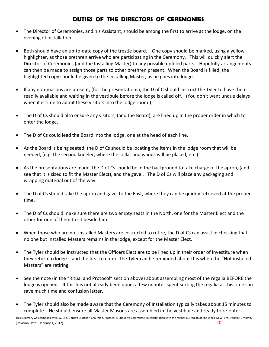# **DUTIES OF THE DIRECTORS OF CEREMONIES**

- The Director of Ceremonies, and his Assistant, should be among the first to arrive at the lodge, on the evening of Installation.
- Both should have an up-to-date copy of the trestle board. One copy should be marked, using a yellow highlighter, as those brethren arrive who are participating in the Ceremony. This will quickly alert the Director of Ceremonies (and the Installing Master) to any possible unfilled parts. Hopefully arrangements can then be made to assign those parts to other brethren present. When the Board is filled, the highlighted copy should be given to the Installing Master, as he goes into lodge.
- If any non-masons are present, (for the presentations), the D of C should instruct the Tyler to have them readily available and waiting in the vestibule before the lodge is called off. (You don't want undue delays when it is time to admit these visitors into the lodge room.)
- The D of Cs should also ensure any visitors, (and the Board), are lined up in the proper order in which to enter the lodge.
- The D of Cs could lead the Board into the lodge, one at the head of each line.
- As the Board is being seated, the D of Cs should be locating the items in the lodge room that will be needed, (e.g. the second kneeler, where the collar and wands will be placed, etc.).
- As the presentations are made, the D of Cs should be in the background to take charge of the apron, (and see that it is sized to fit the Master Elect), and the gavel. The D of Cs will place any packaging and wrapping material out of the way.
- The D of Cs should take the apron and gavel to the East, where they can be quickly retrieved at the proper time.
- The D of Cs should make sure there are two empty seats in the North, one for the Master Elect and the other for one of them to sit beside him.
- When those who are not Installed Masters are instructed to retire, the D of Cs can assist in checking that no one but Installed Masters remains in the lodge, except for the Master Elect.
- The Tyler should be instructed that the Officers Elect are to be lined up in their order of Investiture when they return to lodge – and the first to enter. The Tyler can be reminded about this when the "Not installed Masters" are retiring.
- See the note (in the "Ritual and Protocol" section above) about assembling most of the regalia BEFORE the lodge is opened. If this has not already been done, a few minutes spent sorting the regalia at this time can save much time and confusion latter.
- The Tyler should also be made aware that the Ceremony of Installation typically takes about 15 minutes to complete. He should ensure all Master Masons are assembled in the vestibule and ready to re-enter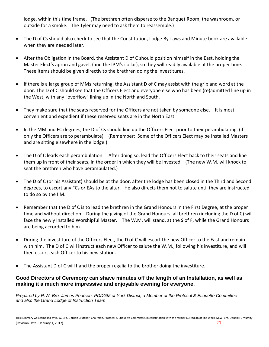lodge, within this time frame. (The brethren often disperse to the Banquet Room, the washroom, or outside for a smoke. The Tyler may need to ask them to reassemble.)

- The D of Cs should also check to see that the Constitution, Lodge By-Laws and Minute book are available when they are needed later.
- After the Obligation in the Board, the Assistant D of C should position himself in the East, holding the Master Elect's apron and gavel, (and the IPM's collar), so they will readily available at the proper time. These items should be given directly to the brethren doing the investitures.
- If there is a large group of MMs returning, the Assistant D of C may assist with the grip and word at the door. The D of C should see that the Officers Elect and everyone else who has been (re)admitted line up in the West, with any "overflow" lining up in the North and South.
- They make sure that the seats reserved for the Officers are not taken by someone else. It is most convenient and expedient if these reserved seats are in the North East.
- In the MM and FC degrees, the D of Cs should line up the Officers Elect prior to their perambulating, (if only the Officers are to perambulate). (Remember: Some of the Officers Elect may be Installed Masters and are sitting elsewhere in the lodge.)
- The D of C leads each perambulation. After doing so, lead the Officers Elect back to their seats and line them up in front of their seats, in the order in which they will be invested. (The new W.M. will knock to seat the brethren who have perambulated.)
- The D of C (or his Assistant) should be at the door, after the lodge has been closed in the Third and Second degrees, to escort any FCs or EAs to the altar. He also directs them not to salute until they are instructed to do so by the I.M.
- Remember that the D of C is to lead the brethren in the Grand Honours in the First Degree, at the proper time and without direction. During the giving of the Grand Honours, all brethren (including the D of C) will face the newly Installed Worshipful Master. The W.M. will stand, at the S of F, while the Grand Honours are being accorded to him.
- During the investiture of the Officers Elect, the D of C will escort the new Officer to the East and remain with him. The D of C will instruct each new Officer to salute the W.M., following his investiture, and will then escort each Officer to his new station.
- The Assistant D of C will hand the proper regalia to the brother doing the investiture.

### **Good Directors of Ceremony can shave minutes off the length of an Installation, as well as making it a much more impressive and enjoyable evening for everyone.**

*Prepared by R.W. Bro. James Pearson, PDDGM of York District, a Member of the Protocol & Etiquette Committee and also the Grand Lodge of Instruction Team*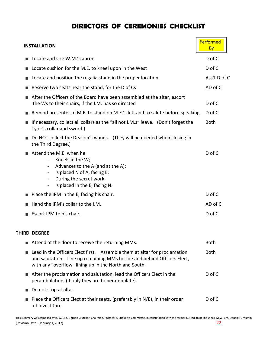# **DIRECTORS OF CEREMONIES CHECKLIST**

|                | <b>INSTALLATION</b>                                                                                                                                                                                                                          | Performed<br><b>By</b> |
|----------------|----------------------------------------------------------------------------------------------------------------------------------------------------------------------------------------------------------------------------------------------|------------------------|
|                | Locate and size W.M.'s apron                                                                                                                                                                                                                 | D of C                 |
|                | Locate cushion for the M.E. to kneel upon in the West                                                                                                                                                                                        | D of C                 |
|                | Locate and position the regalia stand in the proper location                                                                                                                                                                                 | Ass't D of C           |
|                | Reserve two seats near the stand, for the D of Cs                                                                                                                                                                                            | AD of C                |
|                | After the Officers of the Board have been assembled at the altar, escort<br>the Ws to their chairs, if the I.M. has so directed                                                                                                              | D of C                 |
|                | Remind presenter of M.E. to stand on M.E.'s left and to salute before speaking.                                                                                                                                                              | D of C                 |
|                | If necessary, collect all collars as the "all not I.M.s" leave. (Don't forget the<br>Tyler's collar and sword.)                                                                                                                              | <b>Both</b>            |
|                | Do NOT collect the Deacon's wands. (They will be needed when closing in<br>the Third Degree.)                                                                                                                                                |                        |
|                | Attend the M.E. when he:<br>Kneels in the W;<br>Advances to the A (and at the A);<br>$\blacksquare$<br>Is placed N of A, facing E;<br>During the secret work;<br>$\blacksquare$<br>Is placed in the E, facing N.<br>$\overline{\phantom{a}}$ | D of C                 |
|                | Place the IPM in the E, facing his chair.                                                                                                                                                                                                    | D of C                 |
|                | Hand the IPM's collar to the I.M.                                                                                                                                                                                                            | AD of C                |
|                | Escort IPM to his chair.                                                                                                                                                                                                                     | D of C                 |
|                | THIRD DEGREE                                                                                                                                                                                                                                 |                        |
|                | Attend at the door to receive the returning MMs.                                                                                                                                                                                             | <b>Both</b>            |
|                | Lead in the Officers Elect first. Assemble them at altar for proclamation<br>and salutation. Line up remaining MMs beside and behind Officers Elect,<br>with any "overflow" lining up in the North and South.                                | <b>Both</b>            |
| $\blacksquare$ | After the proclamation and salutation, lead the Officers Elect in the<br>perambulation, (if only they are to perambulate).                                                                                                                   | D of C                 |
|                | Do not stop at altar.                                                                                                                                                                                                                        |                        |
|                | Place the Officers Elect at their seats, (preferably in N/E), in their order<br>of Investiture.                                                                                                                                              | D of C                 |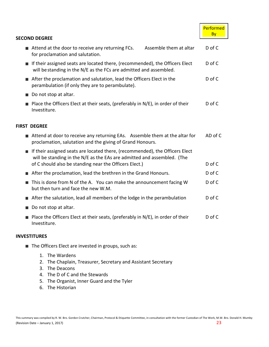|                                                                                                                                                                                                                          | Performed<br><b>By</b> |
|--------------------------------------------------------------------------------------------------------------------------------------------------------------------------------------------------------------------------|------------------------|
| <b>SECOND DEGREE</b>                                                                                                                                                                                                     |                        |
| Assemble them at altar<br>Attend at the door to receive any returning FCs.<br>for proclamation and salutation.                                                                                                           | $D$ of $C$             |
| If their assigned seats are located there, (recommended), the Officers Elect<br>will be standing in the N/E as the FCs are admitted and assembled.                                                                       | $D$ of $C$             |
| After the proclamation and salutation, lead the Officers Elect in the<br>perambulation (if only they are to perambulate).                                                                                                | D of C                 |
| Do not stop at altar.                                                                                                                                                                                                    |                        |
| Place the Officers Elect at their seats, (preferably in N/E), in order of their<br>Investiture.                                                                                                                          | D of C                 |
| <b>FIRST DEGREE</b>                                                                                                                                                                                                      |                        |
| Attend at door to receive any returning EAs. Assemble them at the altar for<br>proclamation, salutation and the giving of Grand Honours.                                                                                 | AD of C                |
| <b>If their assigned seats are located there, (recommended), the Officers Elect</b><br>will be standing in the N/E as the EAs are admitted and assembled. (The<br>of C should also be standing near the Officers Elect.) | $D$ of $C$             |
| After the proclamation, lead the brethren in the Grand Honours.                                                                                                                                                          | D of C                 |
| This is done from N of the A. You can make the announcement facing W<br>but then turn and face the new W.M.                                                                                                              | D of C                 |
| After the salutation, lead all members of the lodge in the perambulation                                                                                                                                                 | $D$ of $C$             |
| Do not stop at altar.                                                                                                                                                                                                    |                        |
| Place the Officers Elect at their seats, (preferably in N/E), in order of their<br>Investiture.                                                                                                                          | D of C                 |
|                                                                                                                                                                                                                          |                        |

#### **INVESTITURES**

- The Officers Elect are invested in groups, such as:
	- 1. The Wardens
	- 2. The Chaplain, Treasurer, Secretary and Assistant Secretary
	- 3. The Deacons
	- 4. The D of C and the Stewards
	- 5. The Organist, Inner Guard and the Tyler
	- 6. The Historian